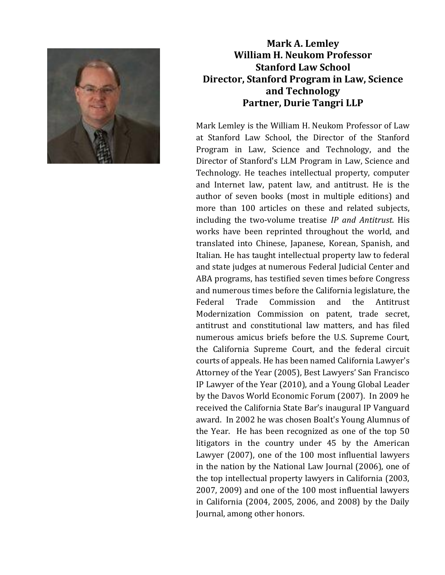

## **Mark A. Lemley William H. Neukom Professor Stanford Law School Director, Stanford Program in Law, Science and Technology Partner, Durie Tangri LLP**

Mark Lemley is the William H. Neukom Professor of Law at Stanford Law School, the Director of the Stanford Program in Law, Science and Technology, and the Director of Stanford's LLM Program in Law, Science and Technology. He teaches intellectual property, computer and Internet law, patent law, and antitrust. He is the author of seven books (most in multiple editions) and more than 100 articles on these and related subjects, including the two-volume treatise *IP and Antitrust*. His works have been reprinted throughout the world, and translated into Chinese, Japanese, Korean, Spanish, and Italian. He has taught intellectual property law to federal and state judges at numerous Federal Judicial Center and ABA programs, has testified seven times before Congress and numerous times before the California legislature, the Federal Trade Commission and the Antitrust Modernization Commission on patent, trade secret, antitrust and constitutional law matters, and has filed numerous amicus briefs before the U.S. Supreme Court, the California Supreme Court, and the federal circuit courts of appeals. He has been named California Lawyer's Attorney of the Year (2005), Best Lawyers' San Francisco IP Lawyer of the Year (2010), and a Young Global Leader by the Davos World Economic Forum (2007). In 2009 he received the California State Bar's inaugural IP Vanguard award. In 2002 he was chosen Boalt's Young Alumnus of the Year. He has been recognized as one of the top 50 litigators in the country under 45 by the American Lawyer (2007), one of the 100 most influential lawyers in the nation by the National Law Journal (2006), one of the top intellectual property lawyers in California (2003, 2007, 2009) and one of the 100 most influential lawyers in California (2004, 2005, 2006, and 2008) by the Daily Journal, among other honors.